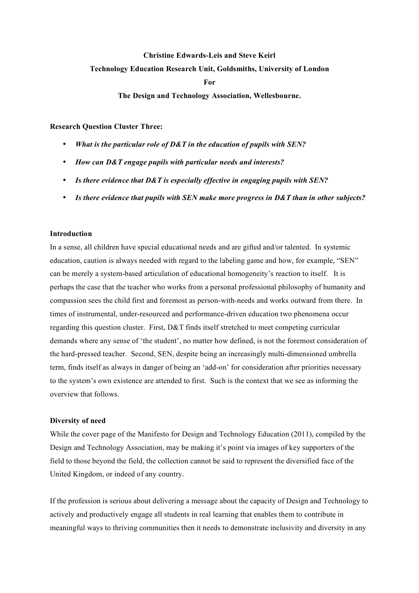## **Christine Edwards-Leis and Steve Keirl**

# **Technology Education Research Unit, Goldsmiths, University of London**

**For**

**The Design and Technology Association, Wellesbourne.**

**Research Question Cluster Three:**

- *What is the particular role of D&T in the education of pupils with SEN?*
- *How can D&T engage pupils with particular needs and interests?*
- *Is there evidence that D&T is especially effective in engaging pupils with SEN?*
- *Is there evidence that pupils with SEN make more progress in D&T than in other subjects?*

## **Introduction**

In a sense, all children have special educational needs and are gifted and/or talented. In systemic education, caution is always needed with regard to the labeling game and how, for example, "SEN" can be merely a system-based articulation of educational homogeneity's reaction to itself. It is perhaps the case that the teacher who works from a personal professional philosophy of humanity and compassion sees the child first and foremost as person-with-needs and works outward from there. In times of instrumental, under-resourced and performance-driven education two phenomena occur regarding this question cluster. First, D&T finds itself stretched to meet competing curricular demands where any sense of 'the student', no matter how defined, is not the foremost consideration of the hard-pressed teacher. Second, SEN, despite being an increasingly multi-dimensioned umbrella term, finds itself as always in danger of being an 'add-on' for consideration after priorities necessary to the system's own existence are attended to first. Such is the context that we see as informing the overview that follows.

## **Diversity of need**

While the cover page of the Manifesto for Design and Technology Education (2011), compiled by the Design and Technology Association, may be making it's point via images of key supporters of the field to those beyond the field, the collection cannot be said to represent the diversified face of the United Kingdom, or indeed of any country.

If the profession is serious about delivering a message about the capacity of Design and Technology to actively and productively engage all students in real learning that enables them to contribute in meaningful ways to thriving communities then it needs to demonstrate inclusivity and diversity in any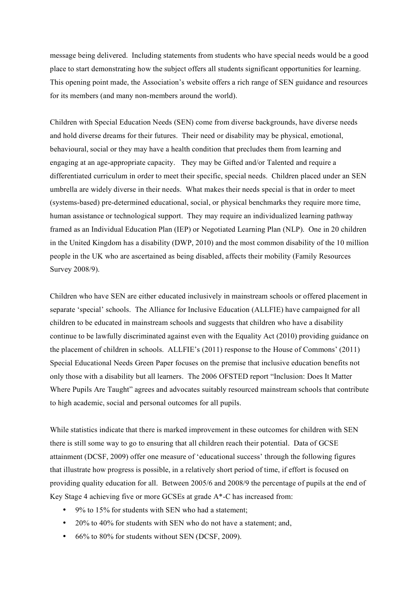message being delivered. Including statements from students who have special needs would be a good place to start demonstrating how the subject offers all students significant opportunities for learning. This opening point made, the Association's website offers a rich range of SEN guidance and resources for its members (and many non-members around the world).

Children with Special Education Needs (SEN) come from diverse backgrounds, have diverse needs and hold diverse dreams for their futures. Their need or disability may be physical, emotional, behavioural, social or they may have a health condition that precludes them from learning and engaging at an age-appropriate capacity. They may be Gifted and/or Talented and require a differentiated curriculum in order to meet their specific, special needs. Children placed under an SEN umbrella are widely diverse in their needs. What makes their needs special is that in order to meet (systems-based) pre-determined educational, social, or physical benchmarks they require more time, human assistance or technological support. They may require an individualized learning pathway framed as an Individual Education Plan (IEP) or Negotiated Learning Plan (NLP). One in 20 children in the United Kingdom has a disability (DWP, 2010) and the most common disability of the 10 million people in the UK who are ascertained as being disabled, affects their mobility (Family Resources Survey 2008/9).

Children who have SEN are either educated inclusively in mainstream schools or offered placement in separate 'special' schools. The Alliance for Inclusive Education (ALLFIE) have campaigned for all children to be educated in mainstream schools and suggests that children who have a disability continue to be lawfully discriminated against even with the Equality Act (2010) providing guidance on the placement of children in schools. ALLFIE's (2011) response to the House of Commons' (2011) Special Educational Needs Green Paper focuses on the premise that inclusive education benefits not only those with a disability but all learners. The 2006 OFSTED report "Inclusion: Does It Matter Where Pupils Are Taught" agrees and advocates suitably resourced mainstream schools that contribute to high academic, social and personal outcomes for all pupils.

While statistics indicate that there is marked improvement in these outcomes for children with SEN there is still some way to go to ensuring that all children reach their potential. Data of GCSE attainment (DCSF, 2009) offer one measure of 'educational success' through the following figures that illustrate how progress is possible, in a relatively short period of time, if effort is focused on providing quality education for all. Between 2005/6 and 2008/9 the percentage of pupils at the end of Key Stage 4 achieving five or more GCSEs at grade A\*-C has increased from:

- 9% to 15% for students with SEN who had a statement;
- 20% to 40% for students with SEN who do not have a statement; and,
- 66% to 80% for students without SEN (DCSF, 2009).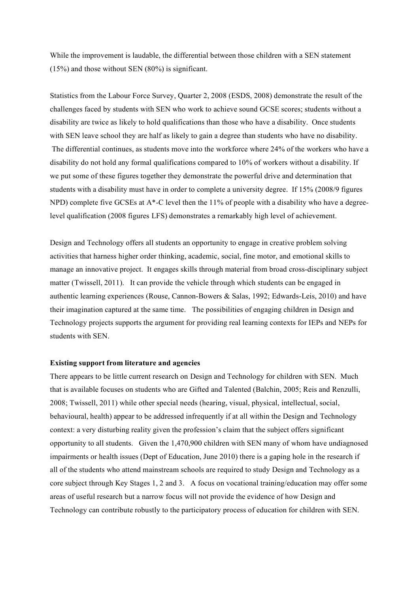While the improvement is laudable, the differential between those children with a SEN statement (15%) and those without SEN (80%) is significant.

Statistics from the Labour Force Survey, Quarter 2, 2008 (ESDS, 2008) demonstrate the result of the challenges faced by students with SEN who work to achieve sound GCSE scores; students without a disability are twice as likely to hold qualifications than those who have a disability. Once students with SEN leave school they are half as likely to gain a degree than students who have no disability. The differential continues, as students move into the workforce where 24% of the workers who have a disability do not hold any formal qualifications compared to 10% of workers without a disability. If we put some of these figures together they demonstrate the powerful drive and determination that students with a disability must have in order to complete a university degree. If 15% (2008/9 figures NPD) complete five GCSEs at A\*-C level then the 11% of people with a disability who have a degreelevel qualification (2008 figures LFS) demonstrates a remarkably high level of achievement.

Design and Technology offers all students an opportunity to engage in creative problem solving activities that harness higher order thinking, academic, social, fine motor, and emotional skills to manage an innovative project. It engages skills through material from broad cross-disciplinary subject matter (Twissell, 2011). It can provide the vehicle through which students can be engaged in authentic learning experiences (Rouse, Cannon-Bowers & Salas, 1992; Edwards-Leis, 2010) and have their imagination captured at the same time. The possibilities of engaging children in Design and Technology projects supports the argument for providing real learning contexts for IEPs and NEPs for students with SEN.

### **Existing support from literature and agencies**

There appears to be little current research on Design and Technology for children with SEN. Much that is available focuses on students who are Gifted and Talented (Balchin, 2005; Reis and Renzulli, 2008; Twissell, 2011) while other special needs (hearing, visual, physical, intellectual, social, behavioural, health) appear to be addressed infrequently if at all within the Design and Technology context: a very disturbing reality given the profession's claim that the subject offers significant opportunity to all students. Given the 1,470,900 children with SEN many of whom have undiagnosed impairments or health issues (Dept of Education, June 2010) there is a gaping hole in the research if all of the students who attend mainstream schools are required to study Design and Technology as a core subject through Key Stages 1, 2 and 3. A focus on vocational training/education may offer some areas of useful research but a narrow focus will not provide the evidence of how Design and Technology can contribute robustly to the participatory process of education for children with SEN.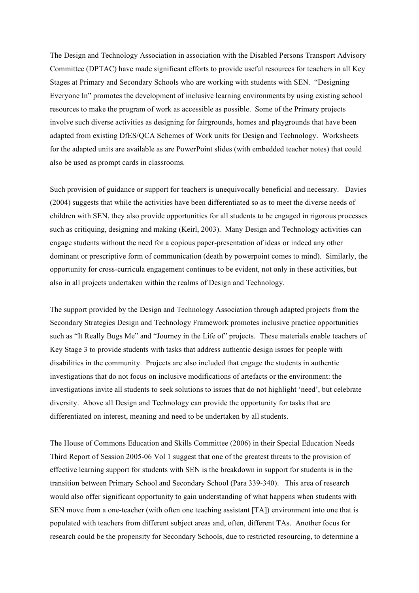The Design and Technology Association in association with the Disabled Persons Transport Advisory Committee (DPTAC) have made significant efforts to provide useful resources for teachers in all Key Stages at Primary and Secondary Schools who are working with students with SEN. "Designing Everyone In" promotes the development of inclusive learning environments by using existing school resources to make the program of work as accessible as possible. Some of the Primary projects involve such diverse activities as designing for fairgrounds, homes and playgrounds that have been adapted from existing DfES/QCA Schemes of Work units for Design and Technology. Worksheets for the adapted units are available as are PowerPoint slides (with embedded teacher notes) that could also be used as prompt cards in classrooms.

Such provision of guidance or support for teachers is unequivocally beneficial and necessary. Davies (2004) suggests that while the activities have been differentiated so as to meet the diverse needs of children with SEN, they also provide opportunities for all students to be engaged in rigorous processes such as critiquing, designing and making (Keirl, 2003). Many Design and Technology activities can engage students without the need for a copious paper-presentation of ideas or indeed any other dominant or prescriptive form of communication (death by powerpoint comes to mind). Similarly, the opportunity for cross-curricula engagement continues to be evident, not only in these activities, but also in all projects undertaken within the realms of Design and Technology.

The support provided by the Design and Technology Association through adapted projects from the Secondary Strategies Design and Technology Framework promotes inclusive practice opportunities such as "It Really Bugs Me" and "Journey in the Life of" projects. These materials enable teachers of Key Stage 3 to provide students with tasks that address authentic design issues for people with disabilities in the community. Projects are also included that engage the students in authentic investigations that do not focus on inclusive modifications of artefacts or the environment: the investigations invite all students to seek solutions to issues that do not highlight 'need', but celebrate diversity. Above all Design and Technology can provide the opportunity for tasks that are differentiated on interest, meaning and need to be undertaken by all students.

The House of Commons Education and Skills Committee (2006) in their Special Education Needs Third Report of Session 2005-06 Vol 1 suggest that one of the greatest threats to the provision of effective learning support for students with SEN is the breakdown in support for students is in the transition between Primary School and Secondary School (Para 339-340). This area of research would also offer significant opportunity to gain understanding of what happens when students with SEN move from a one-teacher (with often one teaching assistant [TA]) environment into one that is populated with teachers from different subject areas and, often, different TAs. Another focus for research could be the propensity for Secondary Schools, due to restricted resourcing, to determine a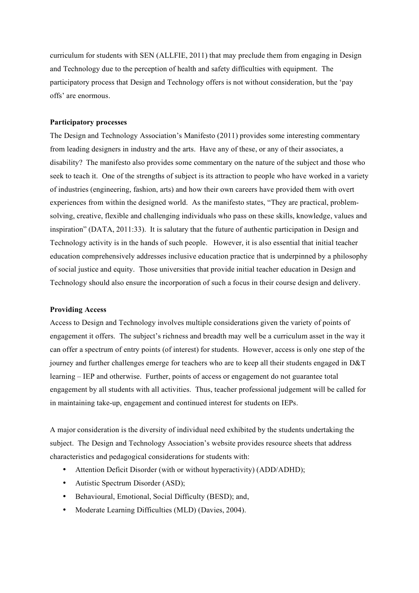curriculum for students with SEN (ALLFIE, 2011) that may preclude them from engaging in Design and Technology due to the perception of health and safety difficulties with equipment. The participatory process that Design and Technology offers is not without consideration, but the 'pay offs' are enormous.

## **Participatory processes**

The Design and Technology Association's Manifesto (2011) provides some interesting commentary from leading designers in industry and the arts. Have any of these, or any of their associates, a disability? The manifesto also provides some commentary on the nature of the subject and those who seek to teach it. One of the strengths of subject is its attraction to people who have worked in a variety of industries (engineering, fashion, arts) and how their own careers have provided them with overt experiences from within the designed world. As the manifesto states, "They are practical, problemsolving, creative, flexible and challenging individuals who pass on these skills, knowledge, values and inspiration" (DATA, 2011:33). It is salutary that the future of authentic participation in Design and Technology activity is in the hands of such people. However, it is also essential that initial teacher education comprehensively addresses inclusive education practice that is underpinned by a philosophy of social justice and equity. Those universities that provide initial teacher education in Design and Technology should also ensure the incorporation of such a focus in their course design and delivery.

### **Providing Access**

Access to Design and Technology involves multiple considerations given the variety of points of engagement it offers. The subject's richness and breadth may well be a curriculum asset in the way it can offer a spectrum of entry points (of interest) for students. However, access is only one step of the journey and further challenges emerge for teachers who are to keep all their students engaged in D&T learning – IEP and otherwise. Further, points of access or engagement do not guarantee total engagement by all students with all activities. Thus, teacher professional judgement will be called for in maintaining take-up, engagement and continued interest for students on IEPs.

A major consideration is the diversity of individual need exhibited by the students undertaking the subject. The Design and Technology Association's website provides resource sheets that address characteristics and pedagogical considerations for students with:

- Attention Deficit Disorder (with or without hyperactivity) (ADD/ADHD);
- Autistic Spectrum Disorder (ASD);
- Behavioural, Emotional, Social Difficulty (BESD); and,
- Moderate Learning Difficulties (MLD) (Davies, 2004).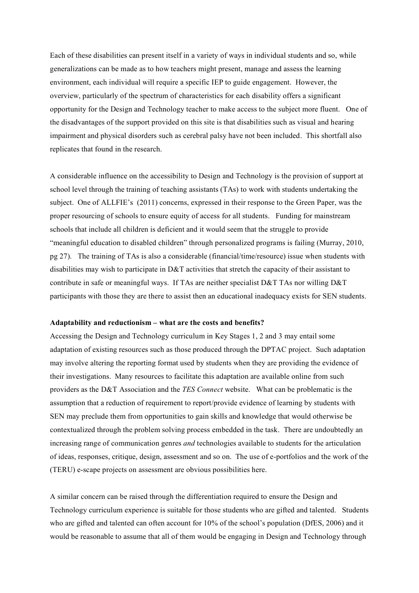Each of these disabilities can present itself in a variety of ways in individual students and so, while generalizations can be made as to how teachers might present, manage and assess the learning environment, each individual will require a specific IEP to guide engagement. However, the overview, particularly of the spectrum of characteristics for each disability offers a significant opportunity for the Design and Technology teacher to make access to the subject more fluent. One of the disadvantages of the support provided on this site is that disabilities such as visual and hearing impairment and physical disorders such as cerebral palsy have not been included. This shortfall also replicates that found in the research.

A considerable influence on the accessibility to Design and Technology is the provision of support at school level through the training of teaching assistants (TAs) to work with students undertaking the subject. One of ALLFIE's (2011) concerns, expressed in their response to the Green Paper, was the proper resourcing of schools to ensure equity of access for all students. Funding for mainstream schools that include all children is deficient and it would seem that the struggle to provide "meaningful education to disabled children" through personalized programs is failing (Murray, 2010, pg 27). The training of TAs is also a considerable (financial/time/resource) issue when students with disabilities may wish to participate in D&T activities that stretch the capacity of their assistant to contribute in safe or meaningful ways. If TAs are neither specialist D&T TAs nor willing D&T participants with those they are there to assist then an educational inadequacy exists for SEN students.

#### **Adaptability and reductionism – what are the costs and benefits?**

Accessing the Design and Technology curriculum in Key Stages 1, 2 and 3 may entail some adaptation of existing resources such as those produced through the DPTAC project. Such adaptation may involve altering the reporting format used by students when they are providing the evidence of their investigations. Many resources to facilitate this adaptation are available online from such providers as the D&T Association and the *TES Connect* website. What can be problematic is the assumption that a reduction of requirement to report/provide evidence of learning by students with SEN may preclude them from opportunities to gain skills and knowledge that would otherwise be contextualized through the problem solving process embedded in the task. There are undoubtedly an increasing range of communication genres *and* technologies available to students for the articulation of ideas, responses, critique, design, assessment and so on. The use of e-portfolios and the work of the (TERU) e-scape projects on assessment are obvious possibilities here.

A similar concern can be raised through the differentiation required to ensure the Design and Technology curriculum experience is suitable for those students who are gifted and talented. Students who are gifted and talented can often account for 10% of the school's population (DfES, 2006) and it would be reasonable to assume that all of them would be engaging in Design and Technology through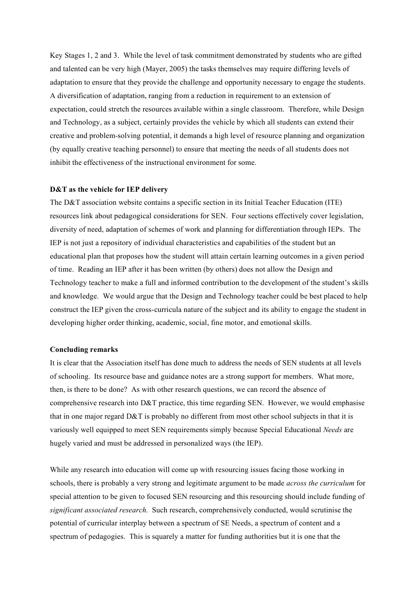Key Stages 1, 2 and 3. While the level of task commitment demonstrated by students who are gifted and talented can be very high (Mayer, 2005) the tasks themselves may require differing levels of adaptation to ensure that they provide the challenge and opportunity necessary to engage the students. A diversification of adaptation, ranging from a reduction in requirement to an extension of expectation, could stretch the resources available within a single classroom. Therefore, while Design and Technology, as a subject, certainly provides the vehicle by which all students can extend their creative and problem-solving potential, it demands a high level of resource planning and organization (by equally creative teaching personnel) to ensure that meeting the needs of all students does not inhibit the effectiveness of the instructional environment for some.

#### **D&T as the vehicle for IEP delivery**

The D&T association website contains a specific section in its Initial Teacher Education (ITE) resources link about pedagogical considerations for SEN. Four sections effectively cover legislation, diversity of need, adaptation of schemes of work and planning for differentiation through IEPs. The IEP is not just a repository of individual characteristics and capabilities of the student but an educational plan that proposes how the student will attain certain learning outcomes in a given period of time. Reading an IEP after it has been written (by others) does not allow the Design and Technology teacher to make a full and informed contribution to the development of the student's skills and knowledge. We would argue that the Design and Technology teacher could be best placed to help construct the IEP given the cross-curricula nature of the subject and its ability to engage the student in developing higher order thinking, academic, social, fine motor, and emotional skills.

#### **Concluding remarks**

It is clear that the Association itself has done much to address the needs of SEN students at all levels of schooling. Its resource base and guidance notes are a strong support for members. What more, then, is there to be done? As with other research questions, we can record the absence of comprehensive research into D&T practice, this time regarding SEN. However, we would emphasise that in one major regard D&T is probably no different from most other school subjects in that it is variously well equipped to meet SEN requirements simply because Special Educational *Needs* are hugely varied and must be addressed in personalized ways (the IEP).

While any research into education will come up with resourcing issues facing those working in schools, there is probably a very strong and legitimate argument to be made *across the curriculum* for special attention to be given to focused SEN resourcing and this resourcing should include funding of *significant associated research.* Such research, comprehensively conducted, would scrutinise the potential of curricular interplay between a spectrum of SE Needs, a spectrum of content and a spectrum of pedagogies. This is squarely a matter for funding authorities but it is one that the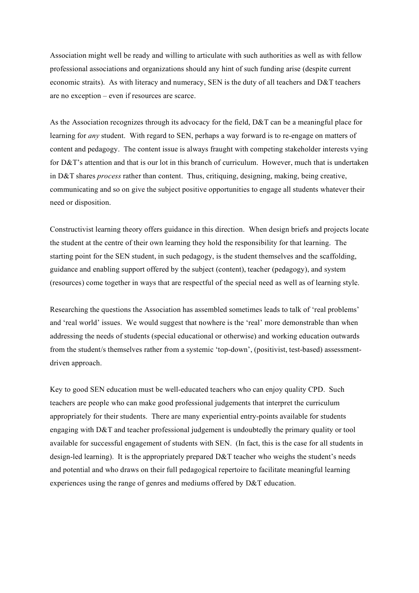Association might well be ready and willing to articulate with such authorities as well as with fellow professional associations and organizations should any hint of such funding arise (despite current economic straits). As with literacy and numeracy, SEN is the duty of all teachers and D&T teachers are no exception – even if resources are scarce.

As the Association recognizes through its advocacy for the field, D&T can be a meaningful place for learning for *any* student. With regard to SEN, perhaps a way forward is to re-engage on matters of content and pedagogy. The content issue is always fraught with competing stakeholder interests vying for D&T's attention and that is our lot in this branch of curriculum. However, much that is undertaken in D&T shares *process* rather than content. Thus, critiquing, designing, making, being creative, communicating and so on give the subject positive opportunities to engage all students whatever their need or disposition.

Constructivist learning theory offers guidance in this direction. When design briefs and projects locate the student at the centre of their own learning they hold the responsibility for that learning. The starting point for the SEN student, in such pedagogy, is the student themselves and the scaffolding, guidance and enabling support offered by the subject (content), teacher (pedagogy), and system (resources) come together in ways that are respectful of the special need as well as of learning style.

Researching the questions the Association has assembled sometimes leads to talk of 'real problems' and 'real world' issues. We would suggest that nowhere is the 'real' more demonstrable than when addressing the needs of students (special educational or otherwise) and working education outwards from the student/s themselves rather from a systemic 'top-down', (positivist, test-based) assessmentdriven approach.

Key to good SEN education must be well-educated teachers who can enjoy quality CPD. Such teachers are people who can make good professional judgements that interpret the curriculum appropriately for their students. There are many experiential entry-points available for students engaging with D&T and teacher professional judgement is undoubtedly the primary quality or tool available for successful engagement of students with SEN. (In fact, this is the case for all students in design-led learning). It is the appropriately prepared D&T teacher who weighs the student's needs and potential and who draws on their full pedagogical repertoire to facilitate meaningful learning experiences using the range of genres and mediums offered by D&T education.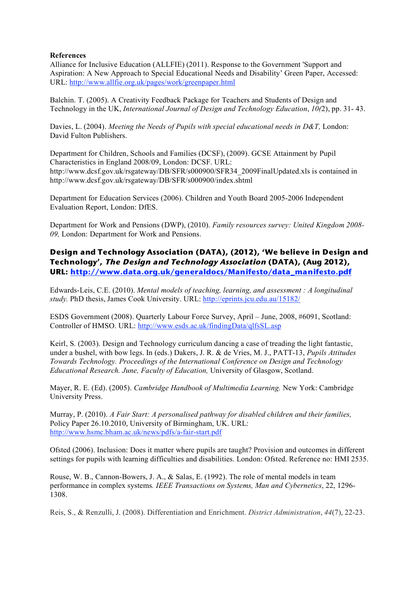## **References**

Alliance for Inclusive Education (ALLFIE) (2011). Response to the Government 'Support and Aspiration: A New Approach to Special Educational Needs and Disability' Green Paper, Accessed: URL: http://www.allfie.org.uk/pages/work/greenpaper.html

Balchin. T. (2005). A Creativity Feedback Package for Teachers and Students of Design and Technology in the UK, *International Journal of Design and Technology Education*, *10(*2), pp. 31- 43.

Davies, L. (2004). *Meeting the Needs of Pupils with special educational needs in D&T,* London: David Fulton Publishers.

Department for Children, Schools and Families (DCSF), (2009). GCSE Attainment by Pupil Characteristics in England 2008/09, London: DCSF. URL: http://www.dcsf.gov.uk/rsgateway/DB/SFR/s000900/SFR34\_2009FinalUpdated.xls is contained in http://www.dcsf.gov.uk/rsgateway/DB/SFR/s000900/index.shtml

Department for Education Services (2006). Children and Youth Board 2005-2006 Independent Evaluation Report, London: DfES.

Department for Work and Pensions (DWP), (2010). *Family resources survey: United Kingdom 2008- 09,* London: Department for Work and Pensions.

**Design and Technology Association (DATA), (2012), 'We believe in Design and Technology', The Design and Technology Association (DATA), (Aug 2012), URL: http://www.data.org.uk/generaldocs/Manifesto/data\_manifesto.pdf**

Edwards-Leis, C.E. (2010). *Mental models of teaching, learning, and assessment : A longitudinal study.* PhD thesis, James Cook University. URL: http://eprints.jcu.edu.au/15182/

ESDS Government (2008). Quarterly Labour Force Survey, April – June, 2008, #6091, Scotland: Controller of HMSO. URL: http://www.esds.ac.uk/findingData/qlfsSL.asp

Keirl, S. (2003). Design and Technology curriculum dancing a case of treading the light fantastic, under a bushel, with bow legs. In (eds.) Dakers, J. R. & de Vries, M. J., PATT-13, *Pupils Attitudes Towards Technology. Proceedings of the International Conference on Design and Technology Educational Research. June, Faculty of Education,* University of Glasgow, Scotland.

Mayer, R. E. (Ed). (2005). *Cambridge Handbook of Multimedia Learning.* New York: Cambridge University Press.

Murray, P. (2010). *A Fair Start: A personalised pathway for disabled children and their families,* Policy Paper 26.10.2010, University of Birmingham, UK. URL: http://www.hsmc.bham.ac.uk/news/pdfs/a-fair-start.pdf

Ofsted (2006). Inclusion: Does it matter where pupils are taught? Provision and outcomes in different settings for pupils with learning difficulties and disabilities. London: Ofsted. Reference no: HMI 2535.

Rouse, W. B., Cannon-Bowers, J. A., & Salas, E. (1992). The role of mental models in team performance in complex systems*. IEEE Transactions on Systems, Man and Cybernetics*, 22, 1296- 1308.

Reis, S., & Renzulli, J. (2008). Differentiation and Enrichment. *District Administration*, *44*(7), 22-23.